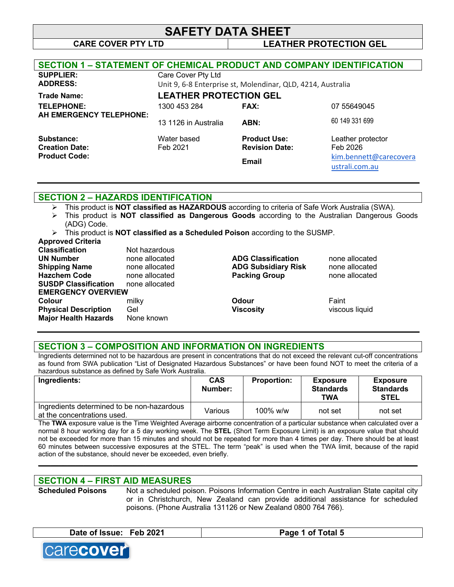# **SAFETY DATA SHEET CARE COVER PTY LTD LEATHER PROTECTION GEL**

| <b>SECTION 1 - STATEMENT OF CHEMICAL PRODUCT AND COMPANY IDENTIFICATION</b> |                               |                                                             |                        |
|-----------------------------------------------------------------------------|-------------------------------|-------------------------------------------------------------|------------------------|
| <b>SUPPLIER:</b>                                                            | Care Cover Pty Ltd            |                                                             |                        |
| <b>ADDRESS:</b>                                                             |                               | Unit 9, 6-8 Enterprise st, Molendinar, QLD, 4214, Australia |                        |
| <b>Trade Name:</b>                                                          | <b>LEATHER PROTECTION GEL</b> |                                                             |                        |
| <b>TELEPHONE:</b>                                                           | 1300 453 284                  | FAX:                                                        | 07 55649045            |
| AH EMERGENCY TELEPHONE:                                                     | 13 1126 in Australia          | ABN:                                                        | 60 149 331 699         |
| Substance:                                                                  | Water based                   | <b>Product Use:</b>                                         | Leather protector      |
| <b>Creation Date:</b>                                                       | Feb 2021                      | <b>Revision Date:</b>                                       | Feb 2026               |
| <b>Product Code:</b>                                                        |                               | <b>Email</b>                                                | kim.bennett@carecovera |
|                                                                             |                               |                                                             | ustrali.com.au         |

### **SECTION 2 – HAZARDS IDENTIFICATION**

- Ø This product is **NOT classified as HAZARDOUS** according to criteria of Safe Work Australia (SWA).
- Ø This product is **NOT classified as Dangerous Goods** according to the Australian Dangerous Goods (ADG) Code.
- Ø This product is **NOT classified as a Scheduled Poison** according to the SUSMP.

| <b>Approved Criteria</b>    |                |                            |                |
|-----------------------------|----------------|----------------------------|----------------|
| <b>Classification</b>       | Not hazardous  |                            |                |
| <b>UN Number</b>            | none allocated | <b>ADG Classification</b>  | none allocated |
| <b>Shipping Name</b>        | none allocated | <b>ADG Subsidiary Risk</b> | none allocated |
| <b>Hazchem Code</b>         | none allocated | <b>Packing Group</b>       | none allocated |
| <b>SUSDP Classification</b> | none allocated |                            |                |
| <b>EMERGENCY OVERVIEW</b>   |                |                            |                |
| Colour                      | milky          | Odour                      | Faint          |
| <b>Physical Description</b> | Gel            | <b>Viscosity</b>           | viscous liquid |
| <b>Major Health Hazards</b> | None known     |                            |                |

### **SECTION 3 – COMPOSITION AND INFORMATION ON INGREDIENTS**

Ingredients determined not to be hazardous are present in concentrations that do not exceed the relevant cut-off concentrations as found from SWA publication "List of Designated Hazardous Substances" or have been found NOT to meet the criteria of a hazardous substance as defined by Safe Work Australia.

| Ingredients:                                                              | <b>CAS</b><br>Number: | <b>Proportion:</b> | <b>Exposure</b><br><b>Standards</b><br><b>TWA</b> | <b>Exposure</b><br><b>Standards</b><br><b>STEL</b> |
|---------------------------------------------------------------------------|-----------------------|--------------------|---------------------------------------------------|----------------------------------------------------|
| Ingredients determined to be non-hazardous<br>at the concentrations used. | Various               | $100\%$ w/w        | not set                                           | not set                                            |

The **TWA** exposure value is the Time Weighted Average airborne concentration of a particular substance when calculated over a normal 8 hour working day for a 5 day working week. The **STEL** (Short Term Exposure Limit) is an exposure value that should not be exceeded for more than 15 minutes and should not be repeated for more than 4 times per day. There should be at least 60 minutes between successive exposures at the STEL. The term "peak" is used when the TWA limit, because of the rapid action of the substance, should never be exceeded, even briefly.

**\_\_\_\_\_\_\_\_\_\_\_\_\_\_\_\_\_\_\_\_\_\_\_\_\_\_\_\_\_\_\_\_\_\_\_\_\_\_\_\_\_\_\_\_\_\_\_\_\_\_\_\_\_\_\_\_\_\_\_\_\_\_\_\_\_\_\_\_\_\_\_\_\_\_\_\_\_\_\_\_\_\_\_\_\_\_\_\_\_\_\_\_**

## **SECTION 4 – FIRST AID MEASURES**

**Scheduled Poisons** Not a scheduled poison. Poisons Information Centre in each Australian State capital city or in Christchurch, New Zealand can provide additional assistance for scheduled poisons. (Phone Australia 131126 or New Zealand 0800 764 766).

|--|

**Page 1 of Total 5** 

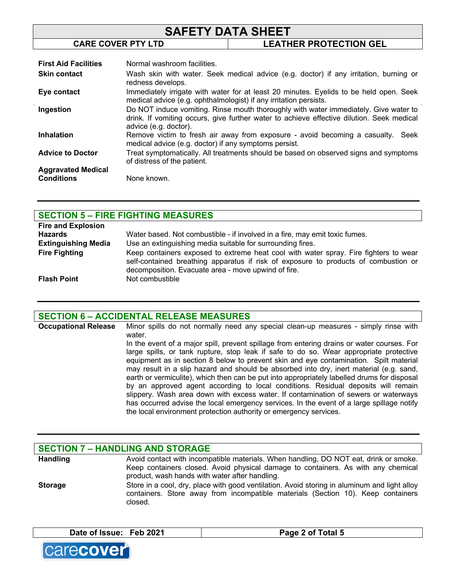| <b>SAFETY DATA SHEET</b>                           |                                                  |                                                                                       |
|----------------------------------------------------|--------------------------------------------------|---------------------------------------------------------------------------------------|
|                                                    | <b>CARE COVER PTY LTD</b>                        | <b>LEATHER PROTECTION GEL</b>                                                         |
| <b>First Aid Facilities</b><br><b>Skin contact</b> | Normal washroom facilities.<br>redness develops. | Wash skin with water. Seek medical advice (e.g. doctor) if any irritation, burning or |

| Eye contact               | Immediately irrigate with water for at least 20 minutes. Eyelids to be held open. Seek                                                   |
|---------------------------|------------------------------------------------------------------------------------------------------------------------------------------|
|                           | medical advice (e.g. ophthalmologist) if any irritation persists.                                                                        |
| Ingestion                 | Do NOT induce vomiting. Rinse mouth thoroughly with water immediately. Give water to                                                     |
|                           | drink. If vomiting occurs, give further water to achieve effective dilution. Seek medical                                                |
|                           | advice (e.g. doctor).                                                                                                                    |
| <b>Inhalation</b>         | Remove victim to fresh air away from exposure - avoid becoming a casualty. Seek<br>medical advice (e.g. doctor) if any symptoms persist. |
| <b>Advice to Doctor</b>   | Treat symptomatically. All treatments should be based on observed signs and symptoms<br>of distress of the patient.                      |
| <b>Aggravated Medical</b> |                                                                                                                                          |

## **SECTION 5 – FIRE FIGHTING MEASURES**

**Conditions** None known.

| <b>Fire and Explosion</b>  |                                                                                                                                                                                                                                    |
|----------------------------|------------------------------------------------------------------------------------------------------------------------------------------------------------------------------------------------------------------------------------|
| Hazards                    | Water based. Not combustible - if involved in a fire, may emit toxic fumes.                                                                                                                                                        |
| <b>Extinguishing Media</b> | Use an extinguishing media suitable for surrounding fires.                                                                                                                                                                         |
| <b>Fire Fighting</b>       | Keep containers exposed to extreme heat cool with water spray. Fire fighters to wear<br>self-contained breathing apparatus if risk of exposure to products of combustion or<br>decomposition. Evacuate area - move upwind of fire. |
| <b>Flash Point</b>         | Not combustible                                                                                                                                                                                                                    |

## **SECTION 6 – ACCIDENTAL RELEASE MEASURES**

**Occupational Release** Minor spills do not normally need any special clean-up measures - simply rinse with water. In the event of a major spill, prevent spillage from entering drains or water courses. For large spills, or tank rupture, stop leak if safe to do so. Wear appropriate protective equipment as in section 8 below to prevent skin and eye contamination. Spilt material may result in a slip hazard and should be absorbed into dry, inert material (e.g. sand, earth or vermiculite), which then can be put into appropriately labelled drums for disposal by an approved agent according to local conditions. Residual deposits will remain slippery. Wash area down with excess water. If contamination of sewers or waterways has occurred advise the local emergency services. In the event of a large spillage notify the local environment protection authority or emergency services.

## **SECTION 7 – HANDLING AND STORAGE**

| <b>Handling</b> | Avoid contact with incompatible materials. When handling, DO NOT eat, drink or smoke.                                                                                                       |
|-----------------|---------------------------------------------------------------------------------------------------------------------------------------------------------------------------------------------|
|                 | Keep containers closed. Avoid physical damage to containers. As with any chemical                                                                                                           |
|                 | product, wash hands with water after handling.                                                                                                                                              |
| <b>Storage</b>  | Store in a cool, dry, place with good ventilation. Avoid storing in aluminum and light alloy<br>containers. Store away from incompatible materials (Section 10). Keep containers<br>closed. |



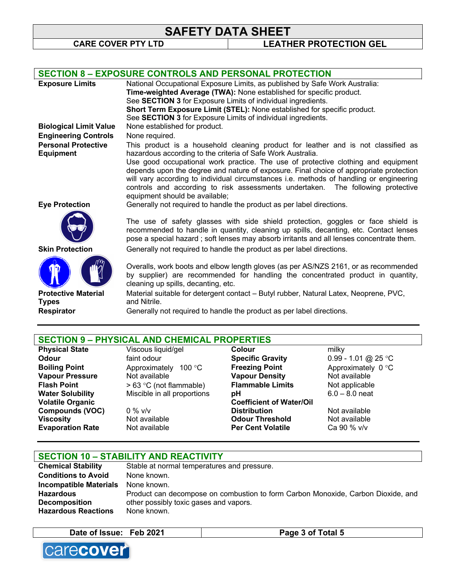# **SAFETY DATA SHEET**<br>CARE COVER PTY LTD LEATHER PROTECTION GEL

|                                                | <b>SECTION 8 - EXPOSURE CONTROLS AND PERSONAL PROTECTION</b>                                                                                                                                                                                                                                                                                                                                |
|------------------------------------------------|---------------------------------------------------------------------------------------------------------------------------------------------------------------------------------------------------------------------------------------------------------------------------------------------------------------------------------------------------------------------------------------------|
| <b>Exposure Limits</b>                         | National Occupational Exposure Limits, as published by Safe Work Australia:                                                                                                                                                                                                                                                                                                                 |
|                                                | Time-weighted Average (TWA): None established for specific product.                                                                                                                                                                                                                                                                                                                         |
|                                                | See SECTION 3 for Exposure Limits of individual ingredients.                                                                                                                                                                                                                                                                                                                                |
|                                                | Short Term Exposure Limit (STEL): None established for specific product.                                                                                                                                                                                                                                                                                                                    |
|                                                | See SECTION 3 for Exposure Limits of individual ingredients.                                                                                                                                                                                                                                                                                                                                |
| <b>Biological Limit Value</b>                  | None established for product.                                                                                                                                                                                                                                                                                                                                                               |
| <b>Engineering Controls</b>                    | None required.                                                                                                                                                                                                                                                                                                                                                                              |
| <b>Personal Protective</b><br><b>Equipment</b> | This product is a household cleaning product for leather and is not classified as<br>hazardous according to the criteria of Safe Work Australia.                                                                                                                                                                                                                                            |
|                                                | Use good occupational work practice. The use of protective clothing and equipment<br>depends upon the degree and nature of exposure. Final choice of appropriate protection<br>will vary according to individual circumstances i.e. methods of handling or engineering<br>controls and according to risk assessments undertaken. The following protective<br>equipment should be available; |
| <b>Eye Protection</b>                          | Generally not required to handle the product as per label directions.                                                                                                                                                                                                                                                                                                                       |
|                                                | The use of safety glasses with side shield protection, goggles or face shield is<br>recommended to handle in quantity, cleaning up spills, decanting, etc. Contact lenses<br>pose a special hazard; soft lenses may absorb irritants and all lenses concentrate them.                                                                                                                       |
| <b>Skin Protection</b>                         | Generally not required to handle the product as per label directions.                                                                                                                                                                                                                                                                                                                       |
|                                                | Overalls, work boots and elbow length gloves (as per AS/NZS 2161, or as recommended<br>by supplier) are recommended for handling the concentrated product in quantity,<br>cleaning up spills, decanting, etc.                                                                                                                                                                               |
| <b>Protective Material</b>                     | Material suitable for detergent contact - Butyl rubber, Natural Latex, Neoprene, PVC,                                                                                                                                                                                                                                                                                                       |
| <b>Types</b>                                   | and Nitrile.                                                                                                                                                                                                                                                                                                                                                                                |
| <b>Respirator</b>                              | Generally not required to handle the product as per label directions.                                                                                                                                                                                                                                                                                                                       |
|                                                |                                                                                                                                                                                                                                                                                                                                                                                             |
|                                                |                                                                                                                                                                                                                                                                                                                                                                                             |
| CECTION 0                                      | DUVCICAL AND CUEMICAL DDODEDTIEC                                                                                                                                                                                                                                                                                                                                                            |

## **SECTION 9 – PHYSICAL AND CHEMICAL PROPERTIES**

| <b>Physical State</b>   | Viscous liquid/gel          | Colour                          | milky               |
|-------------------------|-----------------------------|---------------------------------|---------------------|
| Odour                   | faint odour                 | <b>Specific Gravity</b>         | 0.99 - 1.01 @ 25 °C |
| <b>Boiling Point</b>    | Approximately<br>100 °C     | <b>Freezing Point</b>           | Approximately 0 °C  |
| <b>Vapour Pressure</b>  | Not available               | <b>Vapour Density</b>           | Not available       |
| <b>Flash Point</b>      | $> 63$ °C (not flammable)   | <b>Flammable Limits</b>         | Not applicable      |
| <b>Water Solubility</b> | Miscible in all proportions | рH                              | $6.0 - 8.0$ neat    |
| <b>Volatile Organic</b> |                             | <b>Coefficient of Water/Oil</b> |                     |
| <b>Compounds (VOC)</b>  | $0\%$ v/v                   | <b>Distribution</b>             | Not available       |
| <b>Viscosity</b>        | Not available               | <b>Odour Threshold</b>          | Not available       |
| <b>Evaporation Rate</b> | Not available               | <b>Per Cent Volatile</b>        | Ca 90 % v/v         |
|                         |                             |                                 |                     |

| <b>SECTION 10 - STABILITY AND REACTIVITY</b> |                                                                                  |  |
|----------------------------------------------|----------------------------------------------------------------------------------|--|
| <b>Chemical Stability</b>                    | Stable at normal temperatures and pressure.                                      |  |
| <b>Conditions to Avoid</b>                   | None known.                                                                      |  |
| <b>Incompatible Materials</b>                | None known.                                                                      |  |
| <b>Hazardous</b>                             | Product can decompose on combustion to form Carbon Monoxide, Carbon Dioxide, and |  |
| <b>Decomposition</b>                         | other possibly toxic gases and vapors.                                           |  |
| <b>Hazardous Reactions</b>                   | None known.                                                                      |  |





 $\overline{\phantom{a}}$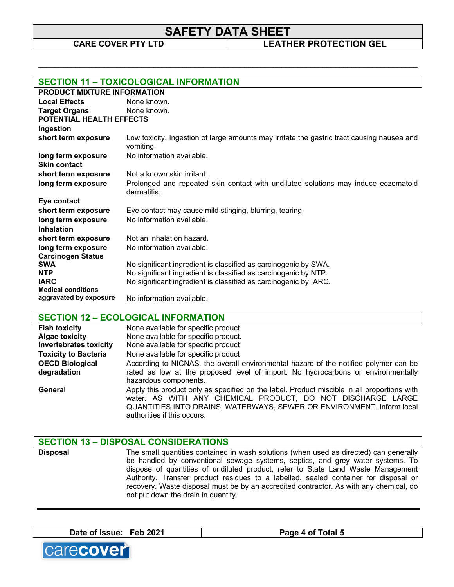# **SAFETY DATA SHEET**<br>CARE COVER PTY LTD LEATHER PROTECTION GEL

\_\_\_\_\_\_\_\_\_\_\_\_\_\_\_\_\_\_\_\_\_\_\_\_\_\_\_\_\_\_\_\_\_\_\_\_\_\_\_\_\_\_\_\_\_\_\_\_\_\_\_\_\_\_\_\_\_\_\_\_\_\_\_\_\_\_\_\_\_\_\_\_\_\_\_\_\_\_\_\_\_\_\_\_\_\_\_\_\_\_\_\_

|                           | <b>SECTION 11 - TOXICOLOGICAL INFORMATION</b>                                                           |  |  |
|---------------------------|---------------------------------------------------------------------------------------------------------|--|--|
|                           | <b>PRODUCT MIXTURE INFORMATION</b>                                                                      |  |  |
| <b>Local Effects</b>      | None known.                                                                                             |  |  |
| <b>Target Organs</b>      | None known.                                                                                             |  |  |
| POTENTIAL HEALTH EFFECTS  |                                                                                                         |  |  |
| Ingestion                 |                                                                                                         |  |  |
| short term exposure       | Low toxicity. Ingestion of large amounts may irritate the gastric tract causing nausea and<br>vomiting. |  |  |
| long term exposure        | No information available.                                                                               |  |  |
| <b>Skin contact</b>       |                                                                                                         |  |  |
| short term exposure       | Not a known skin irritant.                                                                              |  |  |
| long term exposure        | Prolonged and repeated skin contact with undiluted solutions may induce eczematoid<br>dermatitis.       |  |  |
| Eye contact               |                                                                                                         |  |  |
| short term exposure       | Eye contact may cause mild stinging, blurring, tearing.                                                 |  |  |
| long term exposure        | No information available.                                                                               |  |  |
| <b>Inhalation</b>         |                                                                                                         |  |  |
| short term exposure       | Not an inhalation hazard.                                                                               |  |  |
| long term exposure        | No information available.                                                                               |  |  |
| <b>Carcinogen Status</b>  |                                                                                                         |  |  |
| <b>SWA</b>                | No significant ingredient is classified as carcinogenic by SWA.                                         |  |  |
| <b>NTP</b>                | No significant ingredient is classified as carcinogenic by NTP.                                         |  |  |
| <b>IARC</b>               | No significant ingredient is classified as carcinogenic by IARC.                                        |  |  |
| <b>Medical conditions</b> |                                                                                                         |  |  |
| aggravated by exposure    | No information available.                                                                               |  |  |

# **SECTION 12 – ECOLOGICAL INFORMATION**

| <b>Fish toxicity</b>                  | None available for specific product.                                                                                                                                                                                                                               |
|---------------------------------------|--------------------------------------------------------------------------------------------------------------------------------------------------------------------------------------------------------------------------------------------------------------------|
| <b>Algae toxicity</b>                 | None available for specific product.                                                                                                                                                                                                                               |
| <b>Invertebrates toxicity</b>         | None available for specific product                                                                                                                                                                                                                                |
| <b>Toxicity to Bacteria</b>           | None available for specific product                                                                                                                                                                                                                                |
| <b>OECD Biological</b><br>degradation | According to NICNAS, the overall environmental hazard of the notified polymer can be<br>rated as low at the proposed level of import. No hydrocarbons or environmentally<br>hazardous components.                                                                  |
| General                               | Apply this product only as specified on the label. Product miscible in all proportions with<br>water. AS WITH ANY CHEMICAL PRODUCT, DO NOT DISCHARGE LARGE<br>QUANTITIES INTO DRAINS, WATERWAYS, SEWER OR ENVIRONMENT. Inform local<br>authorities if this occurs. |

| <b>SECTION 13 - DISPOSAL CONSIDERATIONS</b> |                                                                                                                                                                                                                                                                                                                                                                                                                                                                                       |  |
|---------------------------------------------|---------------------------------------------------------------------------------------------------------------------------------------------------------------------------------------------------------------------------------------------------------------------------------------------------------------------------------------------------------------------------------------------------------------------------------------------------------------------------------------|--|
| <b>Disposal</b>                             | The small quantities contained in wash solutions (when used as directed) can generally<br>be handled by conventional sewage systems, septics, and grey water systems. To<br>dispose of quantities of undiluted product, refer to State Land Waste Management<br>Authority. Transfer product residues to a labelled, sealed container for disposal or<br>recovery. Waste disposal must be by an accredited contractor. As with any chemical, do<br>not put down the drain in quantity. |  |





 $\Box$